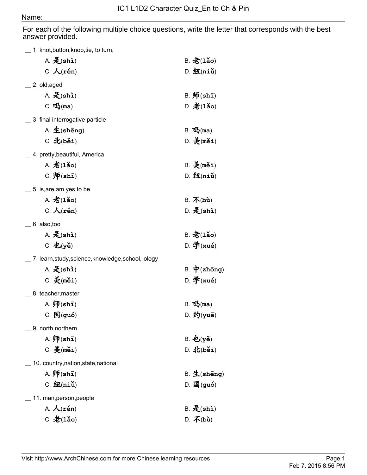## Name:

For each of the following multiple choice questions, write the letter that corresponds with the best answer provided.

| 1. knot, button, knob, tie, to turn,               |                                          |
|----------------------------------------------------|------------------------------------------|
| A. 是 $(\text{shi})$                                | $B.$ $\mathcal{Z}(1\text{A}o)$           |
| C. $\mathcal{K}(\mathbf{r}\acute{e}\mathbf{n})$    | D. 21(nii)                               |
| 2. old, aged                                       |                                          |
| A. $\mathcal{R}$ (shì)                             | $B. \overline{W}(\text{sh}\overline{1})$ |
| $C. \nightharpoonup$ Then $\mathfrak{m}$           | D. 老(1ǎo)                                |
| 3. final interrogative particle                    |                                          |
| A. $\pm$ (shēng)                                   | $B.$ 吗(ma)                               |
| $C.$ 北 $(b\leq i)$                                 | $D.$ $\cancel{\text{F}}$ (měi)           |
| 4. pretty, beautiful, America                      |                                          |
| A. $\mathcal{Z}(1\text{a}o)$                       | $B. \nleq (m\check{e}i)$                 |
| $C.$ 师 $(sh1)$                                     | D. 21(nii)                               |
| 5. is, are, am, yes, to be                         |                                          |
| $A.$ $\mathcal{X}(1\text{ao})$                     | $B. \overline{A}$ (bù)                   |
| C. $\mathcal{K}(\mathbf{r}\acute{e}\mathbf{n})$    | $D.$ 是 $(\text{shi})$                    |
| 6. also, too                                       |                                          |
| A. $\mathcal{R}$ (shì)                             | B. 老(1ǎo)                                |
| $C.$ 也(yě)                                         | D. 学 $(xu\acute{e})$                     |
| 7. learn, study, science, knowledge, school,-ology |                                          |
| A. 是 $(\text{shi})$                                | B. $\mathbf{\dot{P}}$ (zhōng)            |
| $C.$ $\frac{25}{2}$ (měi)                          | $D.$ 学(xué)                              |
| 8. teacher, master                                 |                                          |
| $A. \overline{W}(\text{shi})$                      | $B. \nightharpoonup (ma)$                |
| $C. \ \mathbb{E}(\text{gu6})$                      | D. 约(yuē)                                |
| 9. north, northern                                 |                                          |
| A. $\sqrt{\pi}$ (shī)                              | B. 也(yě)                                 |
| $C.$ $\frac{2}{3}$ (měi)                           | $D.$ $\frac{1}{2}$ $(b\leq 1)$           |
| 10. country, nation, state, national               |                                          |
| $A. \overline{W}(\text{sh}\overline{1})$           | $B.$ 生(shēng)                            |
| $C. 41$ (niǔ)                                      | $D.$ 国 $(guó)$                           |
| 11. man, person, people                            |                                          |
| A. $\mathcal{A}$ (rén)                             | $B.$ $\mathcal{R}(shi)$                  |
| $C.$ 老(1ǎo)                                        | $D. \overline{A}$ (bù)                   |